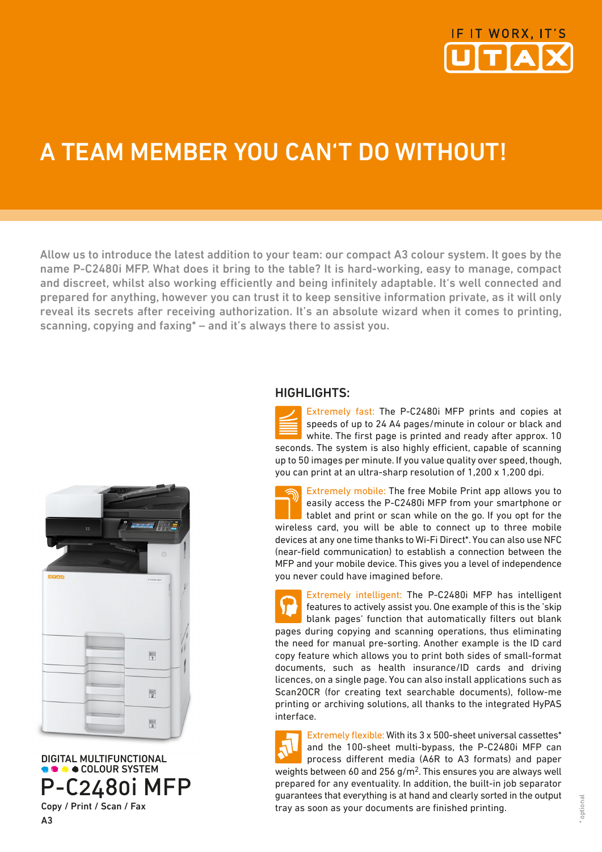

## A TEAM MEMBER YOU CAN'T DO WITHOUT!

Allow us to introduce the latest addition to your team: our compact A3 colour system. It goes by the name P-C2480i MFP. What does it bring to the table? It is hard-working, easy to manage, compact and discreet, whilst also working efficiently and being infinitely adaptable. It's well connected and prepared for anything, however you can trust it to keep sensitive information private, as it will only reveal its secrets after receiving authorization. It's an absolute wizard when it comes to printing, scanning, copying and faxing\* – and it's always there to assist you.



 DIGITAL MULTIFUNCTIONAL **COLOUR SYSTEM** P-C2480i MFP Copy / Print / Scan / Fax

A3

## HIGHLIGHTS:

Extremely fast: The P-C2480i MFP prints and copies at speeds of up to 24 A4 pages/minute in colour or black and white. The first page is printed and ready after approx. 10 seconds. The system is also highly efficient, capable of scanning up to 50 images per minute. If you value quality over speed, though, you can print at an ultra-sharp resolution of 1,200 x 1,200 dpi.

Extremely mobile: The free Mobile Print app allows you to easily access the P-C2480i MFP from your smartphone or tablet and print or scan while on the go. If you opt for the wireless card, you will be able to connect up to three mobile devices at any one time thanks to Wi-Fi Direct\*. You can also use NFC (near-field communication) to establish a connection between the MFP and your mobile device. This gives you a level of independence you never could have imagined before.

Extremely intelligent: The P-C2480i MFP has intelligent features to actively assist you. One example of this is the 'skip blank pages' function that automatically filters out blank pages during copying and scanning operations, thus eliminating the need for manual pre-sorting. Another example is the ID card copy feature which allows you to print both sides of small-format documents, such as health insurance/ID cards and driving licences, on a single page. You can also install applications such as Scan2OCR (for creating text searchable documents), follow-me printing or archiving solutions, all thanks to the integrated HyPAS interface.

Extremely flexible: With its 3 x 500-sheet universal cassettes\* and the 100-sheet multi-bypass, the P-C2480i MFP can process different media (A6R to A3 formats) and paper weights between 60 and 256 g/m2. This ensures you are always well prepared for any eventuality. In addition, the built-in job separator guarantees that everything is at hand and clearly sorted in the output tray as soon as your documents are finished printing.